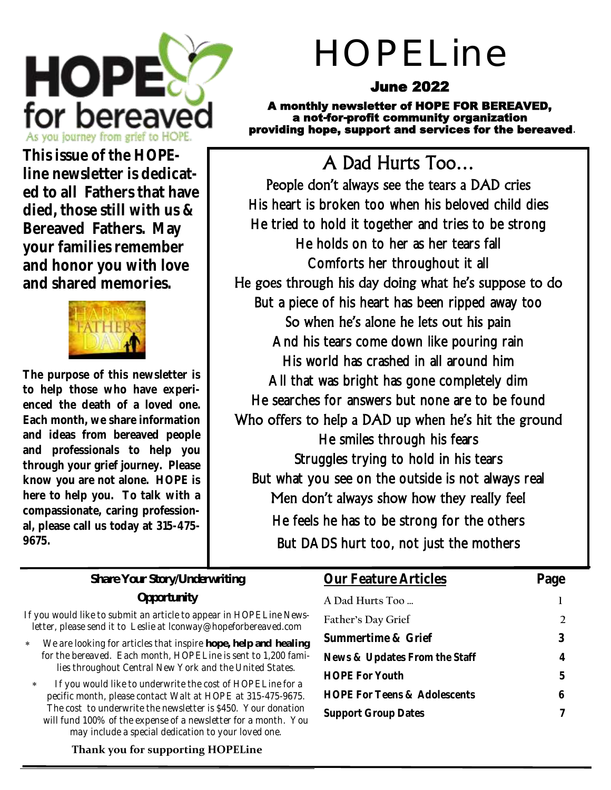

# HOPELine

## June 2022

A monthly newsletter of HOPE FOR BEREAVED, a not-for-profit community organization providing hope, support and services for the bereaved.

**This issue of the HOPEline newsletter is dedicated to all Fathers that have died, those still with us & Bereaved Fathers. May your families remember and honor you with love and shared memories.**



**The purpose of this newsletter is to help those who have experienced the death of a loved one. Each month, we share information and ideas from bereaved people and professionals to help you through your grief journey. Please know you are not alone. HOPE is here to help you. To talk with a compassionate, caring professional, please call us today at 315-475- 9675.**

## A Dad Hurts Too…

People don't always see the tears a DAD cries His heart is broken too when his beloved child dies He tried to hold it together and tries to be strong He holds on to her as her tears fall Comforts her throughout it all He goes through his day doing what he's suppose to do But a piece of his heart has been ripped away too So when he's alone he lets out his pain And his tears come down like pouring rain His world has crashed in all around him All that was bright has gone completely dim He searches for answers but none are to be found Who offers to help a DAD up when he's hit the ground He smiles through his fears Struggles trying to hold in his tears But what you see on the outside is not always real Men don't always show how they really feel He feels he has to be strong for the others But DADS hurt too, not just the mothers

#### **Share Your Story/Underwriting Opportunity**

If you would like to submit an article to appear in HOPELine Newsletter, please send it to Leslie at lconway@hopeforbereaved.com

- We are looking for articles that inspire *hope, help* **and** *healing* for the bereaved. Each month, HOPELine is sent to 1,200 families throughout Central New York and the United States.
- If you would like to underwrite the cost of HOPELine for a pecific month, please contact Walt at HOPE at 315-475-9675. The cost to underwrite the newsletter is \$450. Your donation will fund 100% of the expense of a newsletter for a month. You may include a special dedication to your loved one.

#### **Thank you for supporting HOPELine**

#### **Our Feature Articles Page**

|                                         | $  -$          |
|-----------------------------------------|----------------|
| A Dad Hurts Too                         |                |
| Father's Day Grief                      | $\overline{2}$ |
| Summertime & Grief                      | 3              |
| News & Updates From the Staff           | 4              |
| <b>HOPE For Youth</b>                   | b              |
| <b>HOPE For Teens &amp; Adolescents</b> |                |
| <b>Support Group Dates</b>              |                |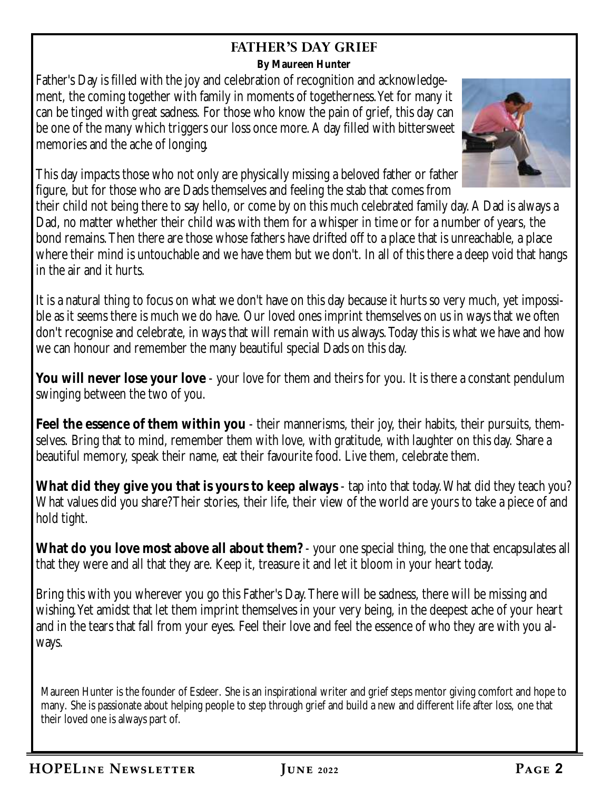### **FATHER'S DAY GRIEF**

**By Maureen Hunter**

Father's Day is filled with the joy and celebration of recognition and acknowledgement, the coming together with family in moments of togetherness. Yet for many it can be tinged with great sadness. For those who know the pain of grief, this day can be one of the many which triggers our loss once more. A day filled with bittersweet memories and the ache of longing.



This day impacts those who not only are physically missing a beloved father or father figure, but for those who are Dads themselves and feeling the stab that comes from

their child not being there to say hello, or come by on this much celebrated family day. A Dad is always a Dad, no matter whether their child was with them for a whisper in time or for a number of years, the bond remains. Then there are those whose fathers have drifted off to a place that is unreachable, a place where their mind is untouchable and we have them but we don't. In all of this there a deep void that hangs in the air and it hurts.

It is a natural thing to focus on what we don't have on this day because it hurts so very much, yet impossible as it seems there is much we do have. Our loved ones imprint themselves on us in ways that we often don't recognise and celebrate, in ways that will remain with us always. Today this is what we have and how we can honour and remember the many beautiful special Dads on this day.

**You will never lose your love** - your love for them and theirs for you. It is there a constant pendulum swinging between the two of you.

**Feel the essence of them within you** - their mannerisms, their joy, their habits, their pursuits, themselves. Bring that to mind, remember them with love, with gratitude, with laughter on this day. Share a beautiful memory, speak their name, eat their favourite food. Live them, celebrate them.

**What did they give you that is yours to keep always** - tap into that today. What did they teach you? What values did you share? Their stories, their life, their view of the world are yours to take a piece of and hold tight.

**What do you love most above all about them?** - your one special thing, the one that encapsulates all that they were and all that they are. Keep it, treasure it and let it bloom in your heart today.

Bring this with you wherever you go this Father's Day. There will be sadness, there will be missing and wishing. Yet amidst that let them imprint themselves in your very being, in the deepest ache of your heart and in the tears that fall from your eyes. Feel their love and feel the essence of who they are with you always.

Maureen Hunter is the founder of Esdeer. She is an inspirational writer and grief steps mentor giving comfort and hope to many. She is passionate about helping people to step through grief and build a new and different life after loss, one that their loved one is always part of.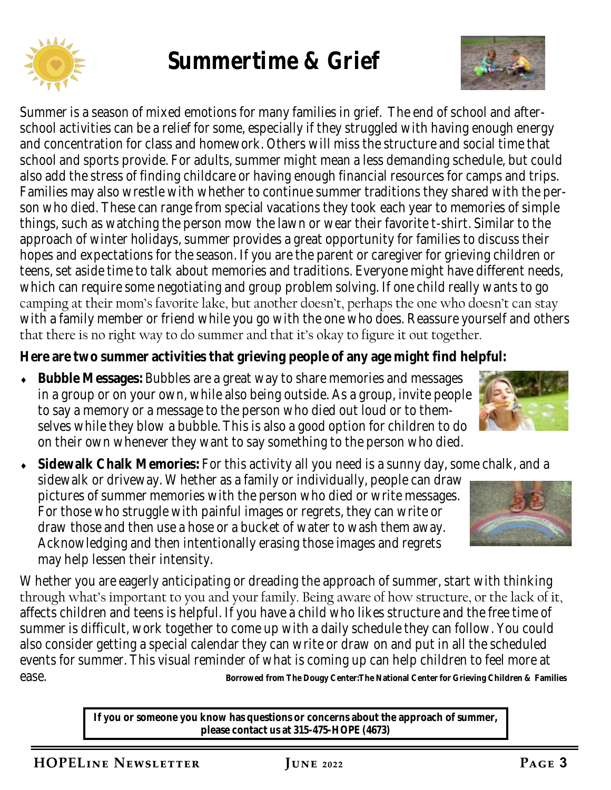

# **Summertime & Grief**



Summer is a season of mixed emotions for many families in grief. The end of school and afterschool activities can be a relief for some, especially if they struggled with having enough energy and concentration for class and homework. Others will miss the structure and social time that school and sports provide. For adults, summer might mean a less demanding schedule, but could also add the stress of finding childcare or having enough financial resources for camps and trips. Families may also wrestle with whether to continue summer traditions they shared with the person who died. These can range from special vacations they took each year to memories of simple things, such as watching the person mow the lawn or wear their favorite t-shirt. Similar to the approach of winter holidays, summer provides a great opportunity for families to discuss their hopes and expectations for the season. If you are the parent or caregiver for grieving children or teens, set aside time to talk about memories and traditions. Everyone might have different needs, which can require some negotiating and group problem solving. If one child really wants to go camping at their mom's favorite lake, but another doesn't, perhaps the one who doesn't can stay with a family member or friend while you go with the one who does. Reassure yourself and others that there is no right way to do summer and that it's okay to figure it out together.

**Here are two summer activities that grieving people of any age might find helpful:** 

- **Bubble Messages:** Bubbles are a great way to share memories and messages in a group or on your own, while also being outside. As a group, invite people to say a memory or a message to the person who died out loud or to themselves while they blow a bubble. This is also a good option for children to do on their own whenever they want to say something to the person who died.
- **Sidewalk Chalk Memories:** For this activity all you need is a sunny day, some chalk, and a sidewalk or driveway. Whether as a family or individually, people can draw pictures of summer memories with the person who died or write messages. For those who struggle with painful images or regrets, they can write or draw those and then use a hose or a bucket of water to wash them away. Acknowledging and then intentionally erasing those images and regrets may help lessen their intensity.

Whether you are eagerly anticipating or dreading the approach of summer, start with thinking through what's important to you and your family. Being aware of how structure, or the lack of it, affects children and teens is helpful. If you have a child who likes structure and the free time of summer is difficult, work together to come up with a daily schedule they can follow. You could also consider getting a special calendar they can write or draw on and put in all the scheduled events for summer. This visual reminder of what is coming up can help children to feel more at ease.

> **If you or someone you know has questions or concerns about the approach of summer, please contact us at 315-475-HOPE (4673)**



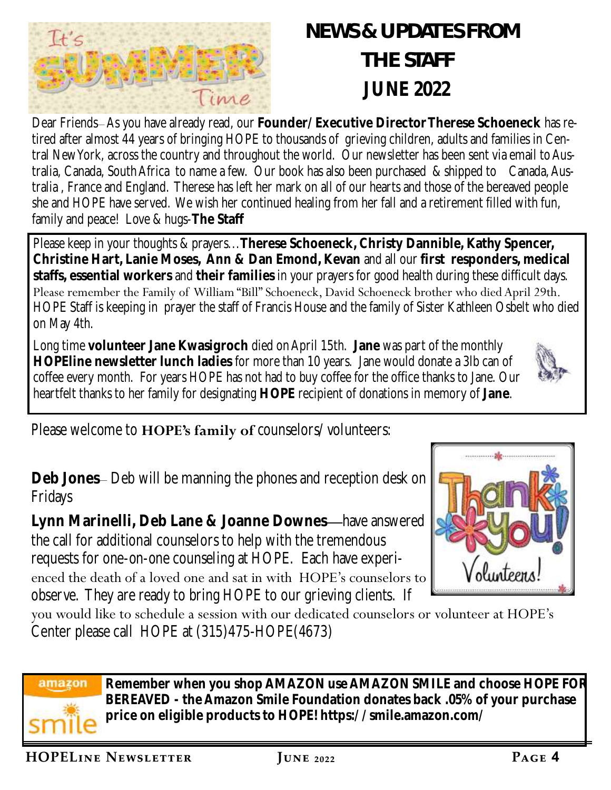

# *NEWS & UPDATES FROM THE STAFF*  **JUNE 2022**

Dear Friends– As you have already read, our **Founder/Executive Director Therese Schoeneck** has retired after almost 44 years of bringing HOPE to thousands of grieving children, adults and families in Central New York, across the country and throughout the world. Our newsletter has been sent via email to Australia, Canada, South Africa to name a few. Our book has also been purchased & shipped to Canada, Australia , France and England. Therese has left her mark on all of our hearts and those of the bereaved people she and HOPE have served. We wish her continued healing from her fall and a retirement filled with fun, family and peace! Love & hugs-**The Staff** 

Please keep in your thoughts & prayers...**Therese Schoeneck, Christy Dannible, Kathy Spencer, Christine Hart, Lanie Moses, Ann & Dan Emond, Kevan** and all our **first responders, medical staffs, essential workers** and **their families** in your prayers for good health during these difficult days. Please remember the Family of William "Bill" Schoeneck, David Schoeneck brother who died April 29th. HOPE Staff is keeping in prayer the staff of Francis House and the family of Sister Kathleen Osbelt who died on May 4th.

Long time **volunteer Jane Kwasigroch** died on April 15th. **Jane** was part of the monthly **HOPEline newsletter lunch ladies** for more than 10 years. Jane would donate a 3lb can of coffee every month. For years HOPE has not had to buy coffee for the office thanks to Jane. Our heartfelt thanks to her family for designating **HOPE** recipient of donations in memory of **Jane**.

Please welcome to **HOPE's family of** counselors/volunteers:

**Deb Jones**– Deb will be manning the phones and reception desk on Fridays

**Lynn Marinelli, Deb Lane & Joanne Downes—**have answered the call for additional counselors to help with the tremendous requests for one-on-one counseling at HOPE. Each have experienced the death of a loved one and sat in with HOPE's counselors to observe. They are ready to bring HOPE to our grieving clients. If

you would like to schedule a session with our dedicated counselors or volunteer at HOPE's Center please call HOPE at (315)475-HOPE(4673)



**Remember when you shop AMAZON use AMAZON SMILE and choose HOPE FOR BEREAVED - the Amazon Smile Foundation donates back .05% of your purchase price on eligible products to HOPE! https://smile.amazon.com/** 



Volunteens.

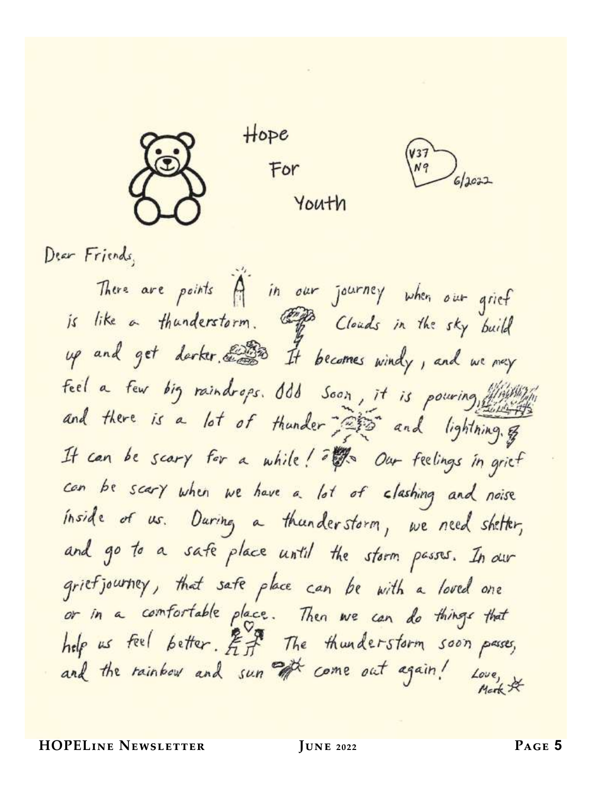

 $Hope$ For Youth

 $6/2022$ 

Dear Friends,

There are points A in our journey when our grief is like a thunderstorm. The clouds in the sky build up and get darker. 233 It becomes windy, and we next feel a few big raindrops. Odd Soon, it is pouring, and there is a lot of thunder and lightning, & It can be scary for a while! I'D Our feelings in grief can be scary when we have a lot of clashing and noise inside of us. During a thunderstorm, we need shelter, and go to a safe place until the storm passes. In our griefjourney, that safe place can be with a loved one or in a comfortable place. Then we can do things that help us feel better. Eff The thunderstorm soon passes, and the rainbow and sun of come out again! Love,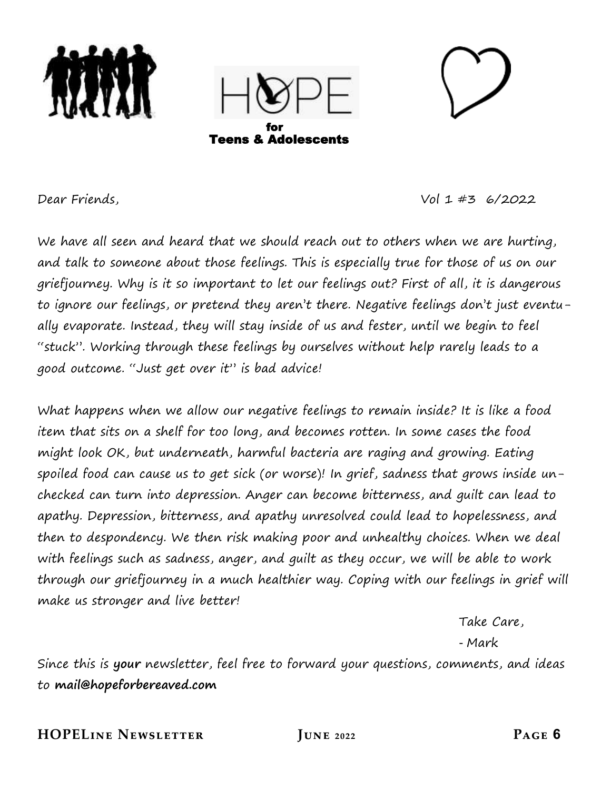



Dear Friends, Vol 1 #3 6/2022

We have all seen and heard that we should reach out to others when we are hurting, and talk to someone about those feelings. This is especially true for those of us on our griefjourney. Why is it so important to let our feelings out? First of all, it is dangerous to ignore our feelings, or pretend they aren't there. Negative feelings don't just eventually evaporate. Instead, they will stay inside of us and fester, until we begin to feel "stuck". Working through these feelings by ourselves without help rarely leads to a good outcome. "Just get over it" is bad advice!

What happens when we allow our negative feelings to remain inside? It is like a food item that sits on a shelf for too long, and becomes rotten. In some cases the food might look OK, but underneath, harmful bacteria are raging and growing. Eating spoiled food can cause us to get sick (or worse)! In grief, sadness that grows inside unchecked can turn into depression. Anger can become bitterness, and guilt can lead to apathy. Depression, bitterness, and apathy unresolved could lead to hopelessness, and then to despondency. We then risk making poor and unhealthy choices. When we deal with feelings such as sadness, anger, and guilt as they occur, we will be able to work through our griefjourney in a much healthier way. Coping with our feelings in grief will make us stronger and live better!

Take Care,

-Mark

Since this is **your** newsletter, feel free to forward your questions, comments, and ideas to **mail@hopeforbereaved.com**

**HOPELine Newsletter June 2022 Page 6**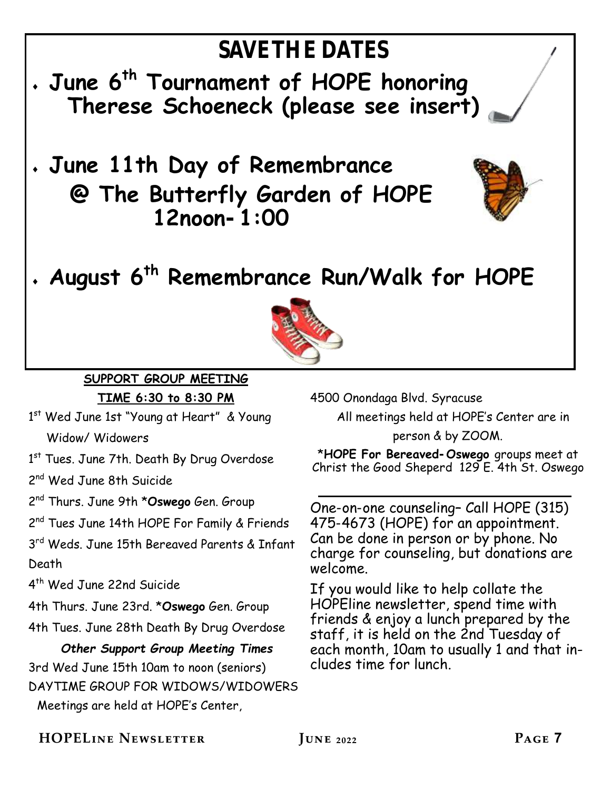

2 nd Thurs. June 9th \***Oswego** Gen. Group

2<sup>nd</sup> Tues June 14th HOPE For Family & Friends

3<sup>rd</sup> Weds. June 15th Bereaved Parents & Infant Death

4 th Wed June 22nd Suicide

4th Thurs. June 23rd. \***Oswego** Gen. Group

4th Tues. June 28th Death By Drug Overdose

 *Other Support Group Meeting Times* 3rd Wed June 15th 10am to noon (seniors) DAYTIME GROUP FOR WIDOWS/WIDOWERS Meetings are held at HOPE's Center,

\***HOPE For Bereaved-Oswego** groups meet at Christ the Good Sheperd 129 E. 4th St. Oswego

One-on-one counseling– Call HOPE (315) 475-4673 (HOPE) for an appointment. Can be done in person or by phone. No charge for counseling, but donations are welcome.

If you would like to help collate the HOPEline newsletter, spend time with friends & enjoy a lunch prepared by the staff, it is held on the 2nd Tuesday of each month, 10am to usually 1 and that includes time for lunch.

**HOPELine Newsletter June 2022 Page 7**